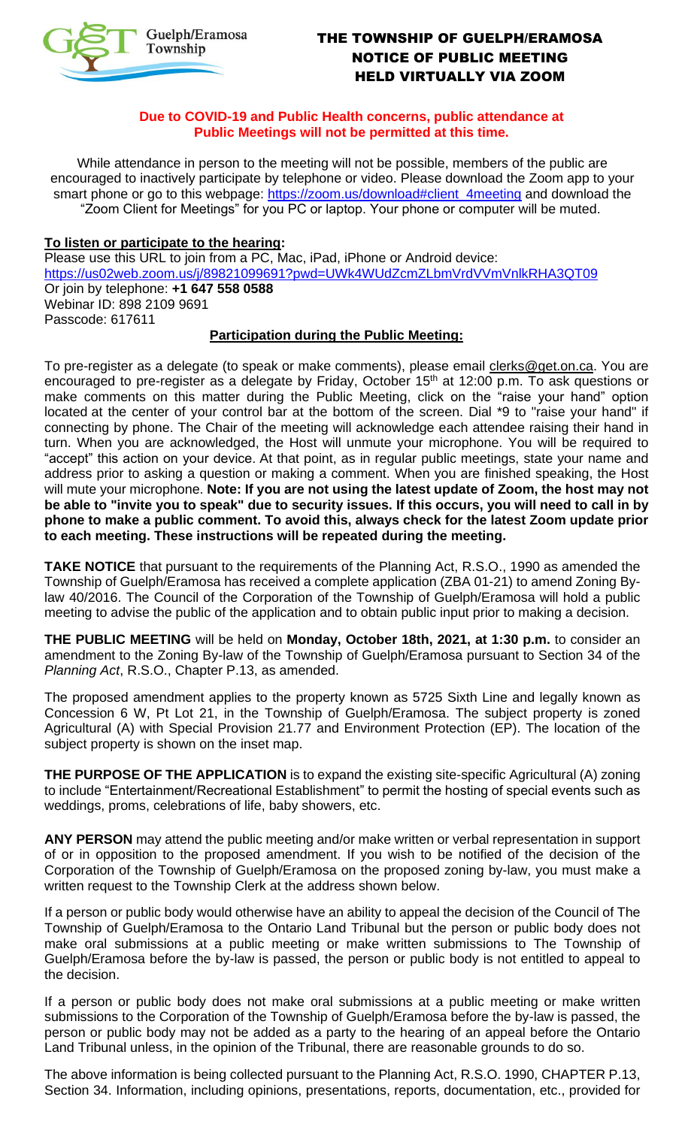

# THE TOWNSHIP OF GUELPH/ERAMOSA NOTICE OF PUBLIC MEETING HELD VIRTUALLY VIA ZOOM

#### **Due to COVID-19 and Public Health concerns, public attendance at Public Meetings will not be permitted at this time.**

While attendance in person to the meeting will not be possible, members of the public are encouraged to inactively participate by telephone or video. Please download the Zoom app to your smart phone or go to this webpage: https://zoom.us/download#client\_4meeting and download the "Zoom Client for Meetings" for you PC or laptop. Your phone or computer will be muted.

### **To listen or participate to the hearing:**

Please use this URL to join from a PC, Mac, iPad, iPhone or Android device: https://us02web.zoom.us/j/89821099691?pwd=UWk4WUdZcmZLbmVrdVVmVnlkRHA3QT09 Or join by telephone: **+1 647 558 0588**  Webinar ID: 898 2109 9691 Passcode: 617611

#### **Participation during the Public Meeting:**

To pre-register as a delegate (to speak or make comments), please email clerks@get.on.ca. You are encouraged to pre-register as a delegate by Friday, October 15<sup>th</sup> at 12:00 p.m. To ask questions or make comments on this matter during the Public Meeting, click on the "raise your hand" option located at the center of your control bar at the bottom of the screen. Dial \*9 to "raise your hand" if connecting by phone. The Chair of the meeting will acknowledge each attendee raising their hand in turn. When you are acknowledged, the Host will unmute your microphone. You will be required to "accept" this action on your device. At that point, as in regular public meetings, state your name and address prior to asking a question or making a comment. When you are finished speaking, the Host will mute your microphone. **Note: If you are not using the latest update of Zoom, the host may not be able to "invite you to speak" due to security issues. If this occurs, you will need to call in by phone to make a public comment. To avoid this, always check for the latest Zoom update prior to each meeting. These instructions will be repeated during the meeting.**

**TAKE NOTICE** that pursuant to the requirements of the Planning Act, R.S.O., 1990 as amended the Township of Guelph/Eramosa has received a complete application (ZBA 01-21) to amend Zoning Bylaw 40/2016. The Council of the Corporation of the Township of Guelph/Eramosa will hold a public meeting to advise the public of the application and to obtain public input prior to making a decision.

**THE PUBLIC MEETING** will be held on **Monday, October 18th, 2021, at 1:30 p.m.** to consider an amendment to the Zoning By-law of the Township of Guelph/Eramosa pursuant to Section 34 of the *Planning Act*, R.S.O., Chapter P.13, as amended.

The proposed amendment applies to the property known as 5725 Sixth Line and legally known as Concession 6 W, Pt Lot 21, in the Township of Guelph/Eramosa. The subject property is zoned Agricultural (A) with Special Provision 21.77 and Environment Protection (EP). The location of the subject property is shown on the inset map.

**THE PURPOSE OF THE APPLICATION** is to expand the existing site-specific Agricultural (A) zoning to include "Entertainment/Recreational Establishment" to permit the hosting of special events such as weddings, proms, celebrations of life, baby showers, etc.

**ANY PERSON** may attend the public meeting and/or make written or verbal representation in support of or in opposition to the proposed amendment. If you wish to be notified of the decision of the Corporation of the Township of Guelph/Eramosa on the proposed zoning by-law, you must make a written request to the Township Clerk at the address shown below.

If a person or public body would otherwise have an ability to appeal the decision of the Council of The Township of Guelph/Eramosa to the Ontario Land Tribunal but the person or public body does not make oral submissions at a public meeting or make written submissions to The Township of Guelph/Eramosa before the by-law is passed, the person or public body is not entitled to appeal to the decision.

If a person or public body does not make oral submissions at a public meeting or make written submissions to the Corporation of the Township of Guelph/Eramosa before the by-law is passed, the person or public body may not be added as a party to the hearing of an appeal before the Ontario Land Tribunal unless, in the opinion of the Tribunal, there are reasonable grounds to do so.

The above information is being collected pursuant to the Planning Act, R.S.O. 1990, CHAPTER P.13, Section 34. Information, including opinions, presentations, reports, documentation, etc., provided for